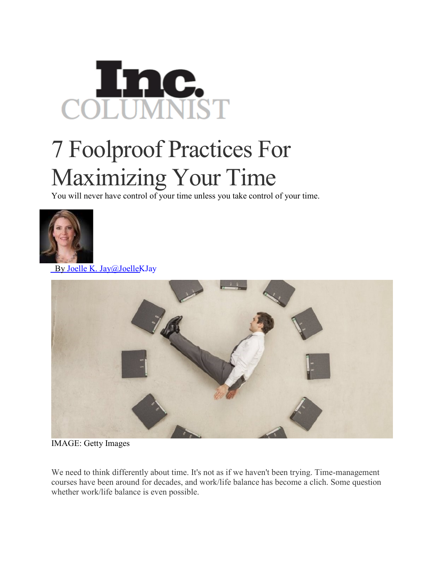## Inc. COL

## 7 Foolproof Practices For Maximizing Your Time

You will never have control of your time unless you take control of your time.



By Joelle K. [Jay@JoelleKJay](http://www.inc.com/author/joelle-k-jay)



IMAGE: Getty Images

We need to think differently about time. It's not as if we haven't been trying. Time-management courses have been around for decades, and work/life balance has become a clich. Some question whether work/life balance is even possible.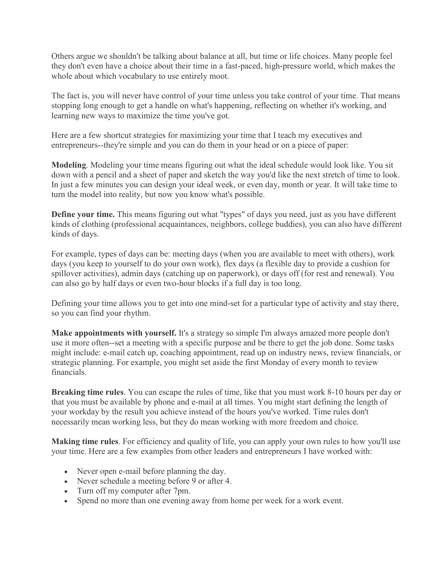Others argue we shouldn't be talking about balance at all, but time or life choices. Many people feel they don't even have a choice about their time in a fast-paced, high-pressure world, which makes the whole about which vocabulary to use entirely moot.

The fact is, you will never have control of your time unless you take control of your time. That means stopping long enough to get a handle on what's happening, reflecting on whether it's working, and learning new ways to maximize the time you've got.

Here are a few shortcut strategies for maximizing your time that I teach my executives and entrepreneurs--they're simple and you can do them in your head or on a piece of paper:

**Modeling**. Modeling your time means figuring out what the ideal schedule would look like. You sit down with a pencil and a sheet of paper and sketch the way you'd like the next stretch of time to look. In just a few minutes you can design your ideal week, or even day, month or year. It will take time to turn the model into reality, but now you know what's possible.

**Define your time.** This means figuring out what "types" of days you need, just as you have different kinds of clothing (professional acquaintances, neighbors, college buddies), you can also have different kinds of days.

For example, types of days can be: meeting days (when you are available to meet with others), work days (you keep to yourself to do your own work), flex days (a flexible day to provide a cushion for spillover activities), admin days (catching up on paperwork), or days off (for rest and renewal). You can also go by half days or even two-hour blocks if a full day is too long.

Defining your time allows you to get into one mind-set for a particular type of activity and stay there, so you can find your rhythm.

**Make appointments with yourself.** It's a strategy so simple I'm always amazed more people don't use it more often--set a meeting with a specific purpose and be there to get the job done. Some tasks might include: e-mail catch up, coaching appointment, read up on industry news, review financials, or strategic planning. For example, you might set aside the first Monday of every month to review financials.

**Breaking time rules**. You can escape the rules of time, like that you must work 8-10 hours per day or that you must be available by phone and e-mail at all times. You might start defining the length of your workday by the result you achieve instead of the hours you've worked. Time rules don't necessarily mean working less, but they do mean working with more freedom and choice.

**Making time rules**. For efficiency and quality of life, you can apply your own rules to how you'll use your time. Here are a few examples from other leaders and entrepreneurs I have worked with:

- Never open e-mail before planning the day.
- Never schedule a meeting before 9 or after 4.
- Turn off my computer after 7pm.
- Spend no more than one evening away from home per week for a work event.